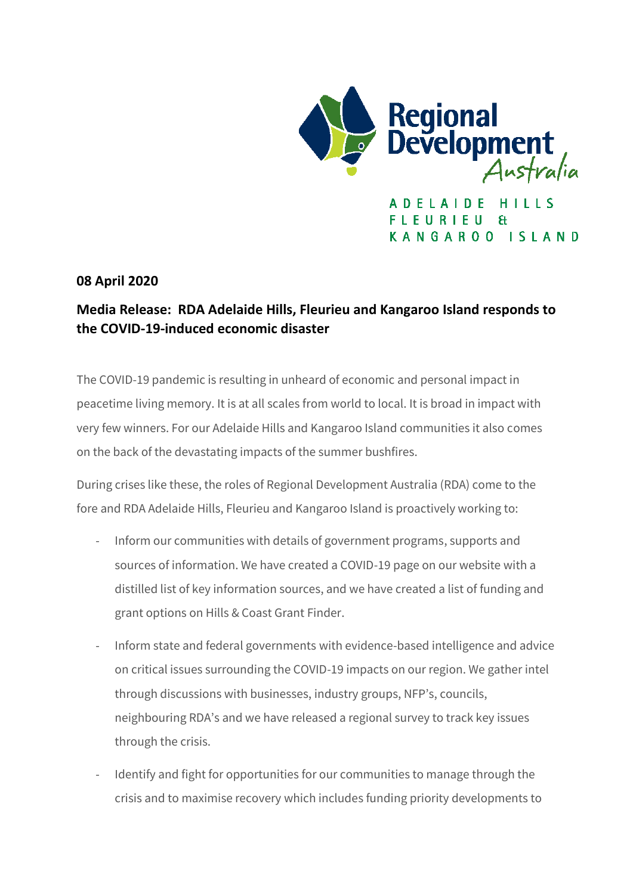

**FIFURIFU**  $H$ KANGAROO ISLAND

**08 April 2020**

## **Media Release: RDA Adelaide Hills, Fleurieu and Kangaroo Island responds to the COVID-19-induced economic disaster**

The COVID-19 pandemic is resulting in unheard of economic and personal impact in peacetime living memory. It is at all scales from world to local. It is broad in impact with very few winners. For our Adelaide Hills and Kangaroo Island communities it also comes on the back of the devastating impacts of the summer bushfires.

During crises like these, the roles of Regional Development Australia (RDA) come to the fore and RDA Adelaide Hills, Fleurieu and Kangaroo Island is proactively working to:

- Inform our communities with details of government programs, supports and sources of information. We have created a COVID-19 page on our website with a distilled list of key information sources, and we have created a list of funding and grant options on Hills & Coast Grant Finder.
- Inform state and federal governments with evidence-based intelligence and advice on critical issues surrounding the COVID-19 impacts on our region. We gather intel through discussions with businesses, industry groups, NFP's, councils, neighbouring RDA's and we have released a regional survey to track key issues through the crisis.
- Identify and fight for opportunities for our communities to manage through the crisis and to maximise recovery which includes funding priority developments to